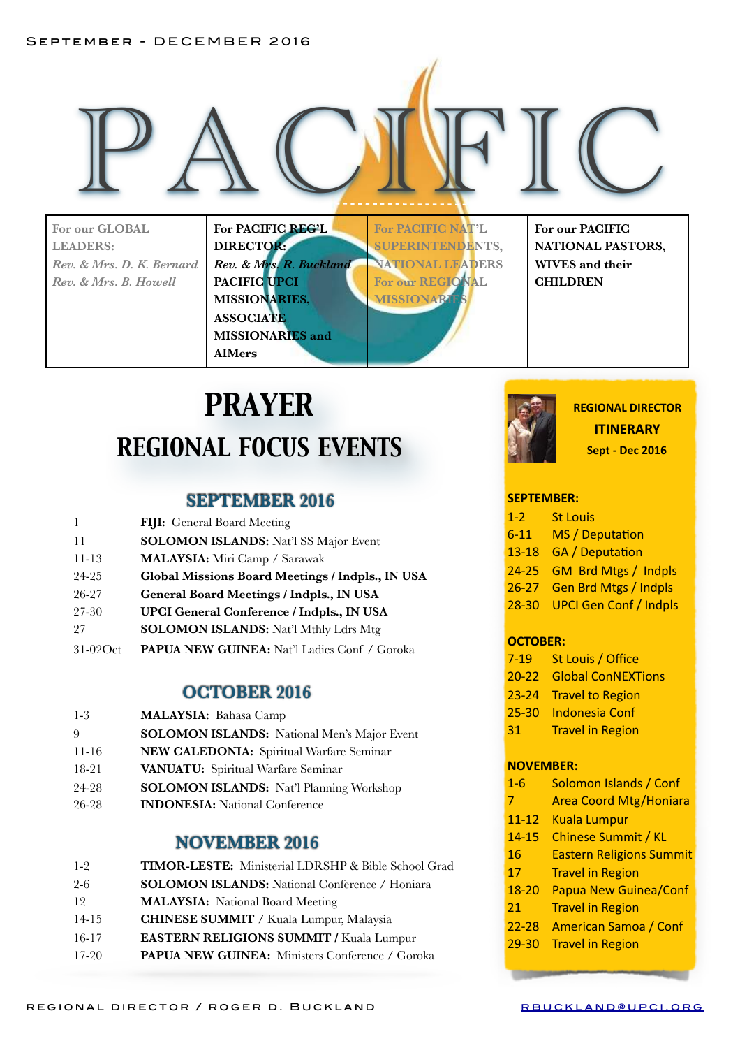#### September - DECEMBER 2016

**For our GLOBAL LEADERS:**  *Rev. & Mrs. D. K. Bernard Rev. & Mrs. B. Howell* 

**PACIFIC REGELERED FOR PACIFIC AFTLE** FOR OUR PACIFIC **For PACIFIC REG'L DIRECTOR:**  *Rev. & Mrs. R. Buckland*  **PACIFIC UPCI MISSIONARIES, ASSOCIATE MISSIONARIES and AIMers**

**For PACIFIC NAT'L SUPERINTENDENTS, NATIONAL LEADERS For our REGIONAL MISSIONARI** 

**For our PACIFIC NATIONAL PASTORS, WIVES and their CHILDREN** 

# *PRAYER REGIONAL FOCUS EVENTS*

### **SEPTEMBER 2016**

| FIJI: General Board Meeting                         |
|-----------------------------------------------------|
| <b>SOLOMON ISLANDS:</b> Nat'l SS Major Event        |
| MALAYSIA: Miri Camp / Sarawak                       |
| Global Missions Board Meetings / Indpls., IN USA    |
| General Board Meetings / Indpls., IN USA            |
| <b>UPCI General Conference / Indpls., IN USA</b>    |
| <b>SOLOMON ISLANDS:</b> Nat'l Mthly Ldrs Mtg        |
| <b>PAPUA NEW GUINEA:</b> Nat'l Ladies Conf / Goroka |
|                                                     |

### **OCTOBER 2016**

| $1-3$   | <b>MALAYSIA: Bahasa Camp</b>                       |
|---------|----------------------------------------------------|
| -9      | <b>SOLOMON ISLANDS:</b> National Men's Major Event |
| $11-16$ | NEW CALEDONIA: Spiritual Warfare Seminar           |
| 18-21   | VANUATU: Spiritual Warfare Seminar                 |
| 24-28   | <b>SOLOMON ISLANDS:</b> Nat'l Planning Workshop    |
| 26-28   | <b>INDONESIA:</b> National Conference              |

## **NOVEMBER 2016**

| TIMOR-LESTE: Ministerial LDRSHP & Bible School Grad   |
|-------------------------------------------------------|
| <b>SOLOMON ISLANDS:</b> National Conference / Honiara |
| <b>MALAYSIA:</b> National Board Meeting               |
| <b>CHINESE SUMMIT / Kuala Lumpur, Malaysia</b>        |
| <b>EASTERN RELIGIONS SUMMIT / Kuala Lumpur</b>        |
| PAPUA NEW GUINEA: Ministers Conference / Goroka       |
|                                                       |



**REGIONAL DIRECTOR ITINERARY Sept - Dec 2016** 

### **SEPTEMBER:**

- 1-2 St Louis
- 6-11 MS / Deputation
- 13-18 GA / Deputation
- 24-25 GM Brd Mtgs / Indpls
- 26-27 Gen Brd Mtgs / Indpls
- 28-30 UPCI Gen Conf / Indpls

#### **OCTOBER:**

- 7-19 St Louis / Office
- 20-22 Global ConNEXTions
- 23-24 Travel to Region
- 25-30 Indonesia Conf
- 31 Travel in Region

#### **NOVEMBER:**

- 1-6 Solomon Islands / Conf
- 7 **Area Coord Mtg/Honiara**
- 11-12 Kuala Lumpur
- 14-15 Chinese Summit / KL
- 16 **Eastern Religions Summit**
- 17 Travel in Region
- 18-20 Papua New Guinea/Conf
- 21 Travel in Region
- 22-28 American Samoa / Conf
- 29-30 Travel in Region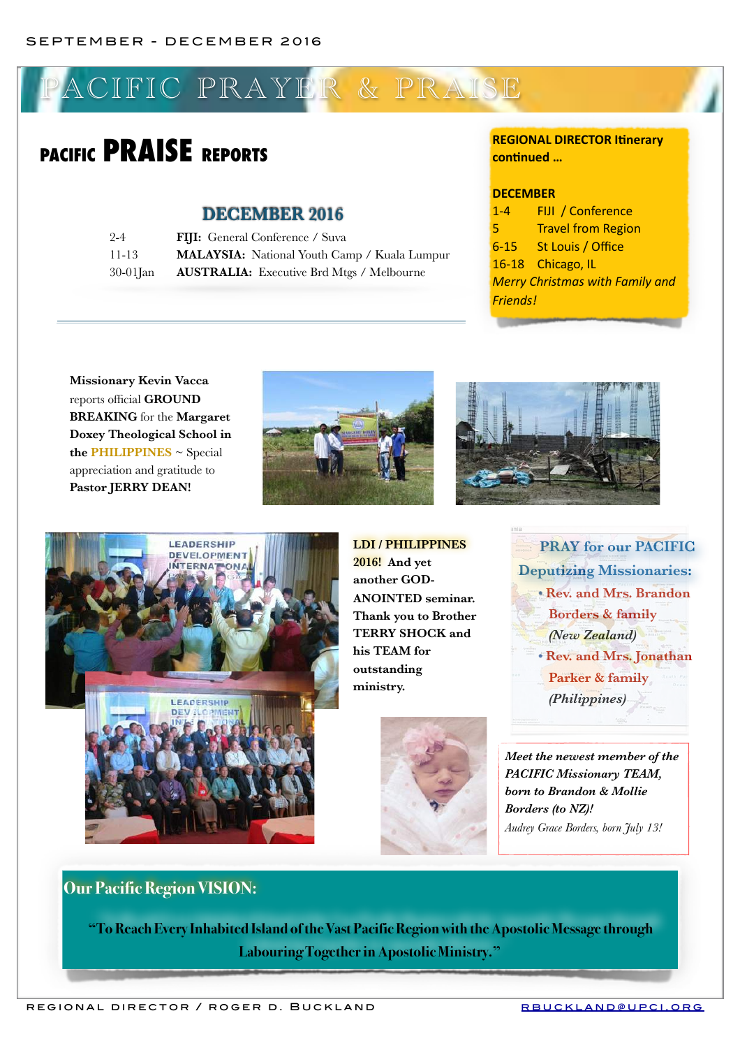# ACIFIC PRAYER & PRAISE

# **PACIFIC PRAISE REPORTS**

### **DECEMBER 2016**

| $2 - 4$     | <b>FIJI:</b> General Conference / Suva           |
|-------------|--------------------------------------------------|
| 11-13       | MALAYSIA: National Youth Camp / Kuala Lumpur     |
| $30-01$ Jan | <b>AUSTRALIA:</b> Executive Brd Mtgs / Melbourne |

### **REGIONAL DIRECTOR Itinerary continued ...**

#### **DECEMBER**

1-4 FIJI / Conference **5** Travel from Region 6-15 St Louis / Office 16-18 Chicago, IL **Merry Christmas with Family and** *Friends!*

**Missionary Kevin Vacca**  reports official **GROUND BREAKING** for the **Margaret Doxey Theological School in the PHILIPPINES** ~ Special appreciation and gratitude to **Pastor JERRY DEAN!**







**LDI / PHILIPPINES 2016! And yet another GOD-ANOINTED seminar. Thank you to Brother TERRY SHOCK and his TEAM for outstanding ministry.**



**PRAY for our PACIFIC Deputizing Missionaries: • Rev. and Mrs. Brandon Borders & family** *(New Zealand)*  **• Rev. and Mrs. Jonathan Parker & family** *(Philippines)*

*Meet the newest member of the PACIFIC Missionary TEAM, born to Brandon & Mollie Borders (to NZ)! Audrey Grace Borders, born July 13!* 

## **Our Pacific Region VISION:**

 **"To Reach Every Inhabited Island of the Vast Pacific Region with the Apostolic Message through Labouring Together in Apostolic Ministry."**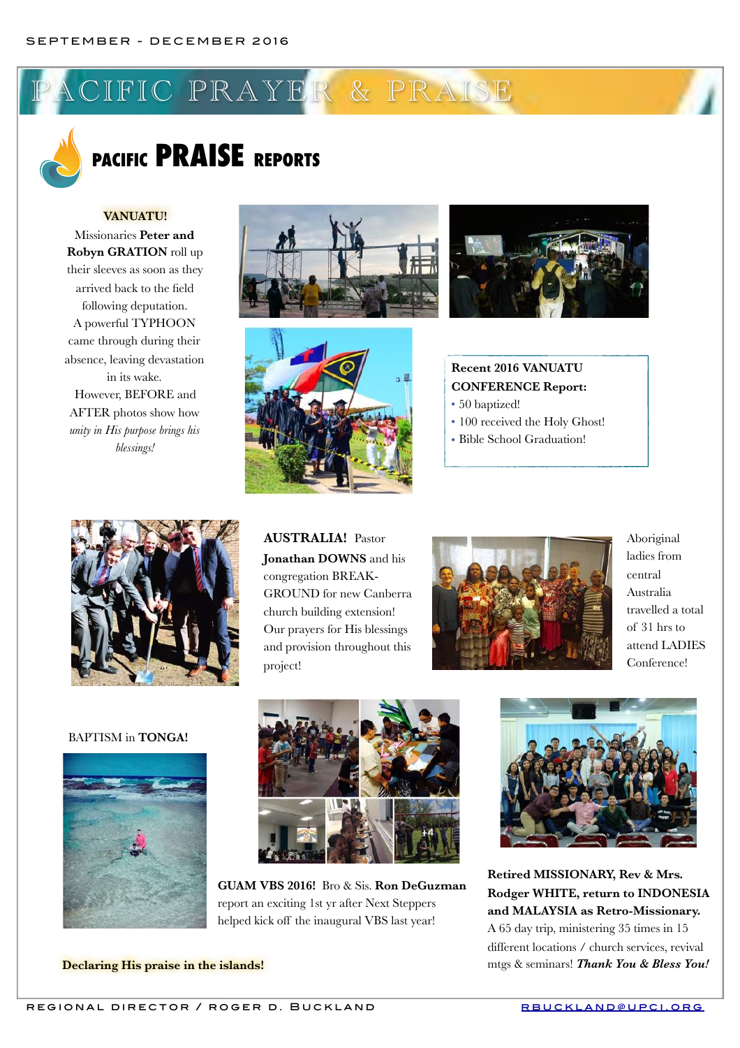CIFIC PRAYER & PRAISE



# **PACIFIC PRAISE REPORTS**

### **VANUATU!**

Missionaries **Peter and Robyn GRATION** roll up their sleeves as soon as they arrived back to the field following deputation. A powerful TYPHOON came through during their absence, leaving devastation in its wake. However, BEFORE and AFTER photos show how *unity in His purpose brings his blessings!* 







**PACIFIC STATE** 

**Recent 2016 VANUATU CONFERENCE Report:** 

- 50 baptized!
- 100 received the Holy Ghost!
- Bible School Graduation!



**AUSTRALIA!** Pastor **Jonathan DOWNS** and his congregation BREAK-GROUND for new Canberra church building extension! Our prayers for His blessings and provision throughout this project!



Aboriginal ladies from central Australia travelled a total of 31 hrs to attend LADIES Conference!

#### BAPTISM in **TONGA!**





**GUAM VBS 2016!** Bro & Sis. **Ron DeGuzman** report an exciting 1st yr after Next Steppers helped kick off the inaugural VBS last year!



**Retired MISSIONARY, Rev & Mrs. Rodger WHITE, return to INDONESIA and MALAYSIA as Retro-Missionary.**  A 65 day trip, ministering 35 times in 15 different locations / church services, revival mtgs & seminars! *Thank You & Bless You!* 

**Declaring His praise in the islands!**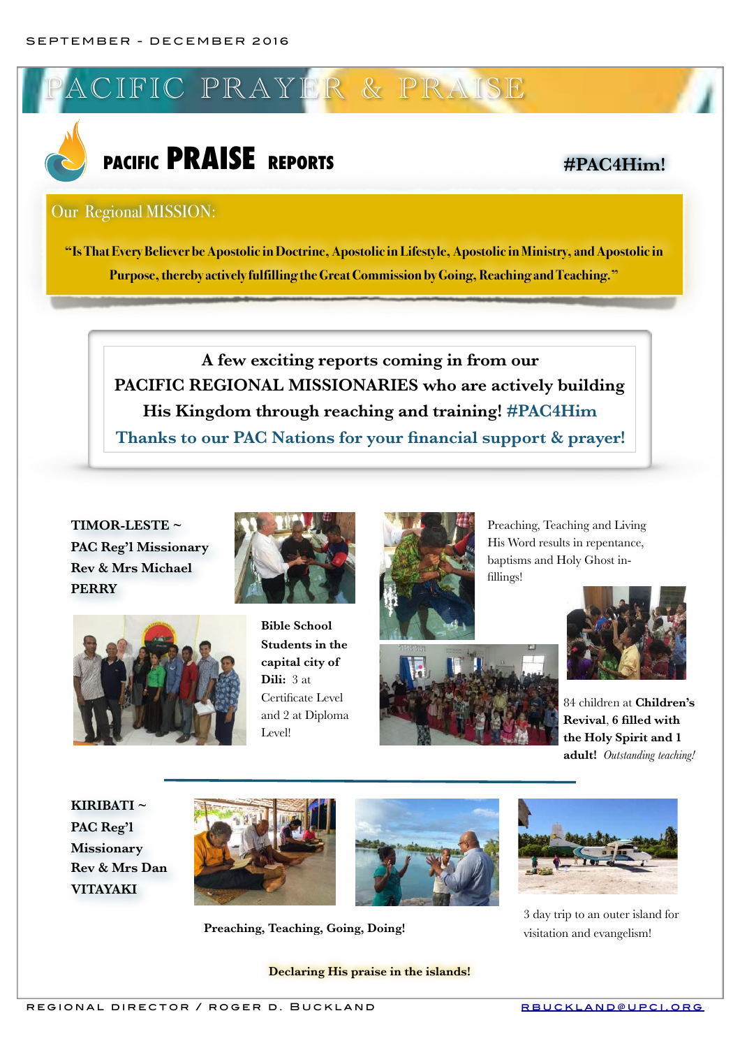

# **PACIFIC PRAISE REPORTS #PAC4Him!**

### Our Regional MISSION:

**"Is That Every Believer be Apostolic in Doctrine, Apostolic in Lifestyle, Apostolic in Ministry, and Apostolic in Purpose, thereby actively fulfilling the Great Commission by Going, Reaching and Teaching."**

**A few exciting reports coming in from our PACIFIC REGIONAL MISSIONARIES who are actively building His Kingdom through reaching and training! #PAC4Him Thanks to our PAC Nations for your financial support & prayer!**

**TIMOR-LESTE ~ PAC Reg'l Missionary Rev & Mrs Michael PERRY**



**Bible School Students in the capital city of Dili:** 3 at Certificate Level and 2 at Diploma Level!



Preaching, Teaching and Living His Word results in repentance, baptisms and Holy Ghost infillings!



84 children at **Children's Revival**, **6 filled with the Holy Spirit and 1 adult!** *Outstanding teaching!*

**KIRIBATI ~ PAC Reg'l Missionary Rev & Mrs Dan VITAYAKI**



**Preaching, Teaching, Going, Doing!**

**Declaring His praise in the islands!**



3 day trip to an outer island for visitation and evangelism!